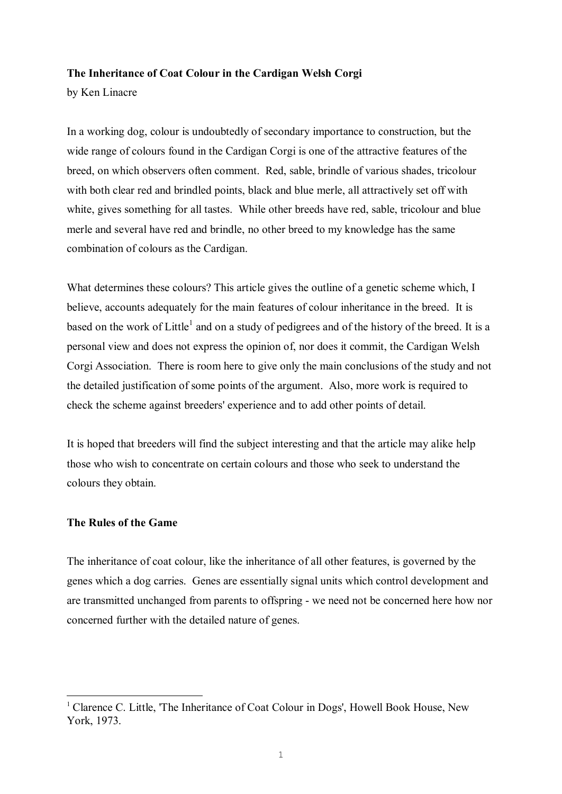## **The Inheritance of Coat Colour in the Cardigan Welsh Corgi**

by Ken Linacre

In a working dog, colour is undoubtedly of secondary importance to construction, but the wide range of colours found in the Cardigan Corgi is one of the attractive features of the breed, on which observers often comment. Red, sable, brindle of various shades, tricolour with both clear red and brindled points, black and blue merle, all attractively set off with white, gives something for all tastes. While other breeds have red, sable, tricolour and blue merle and several have red and brindle, no other breed to my knowledge has the same combination of colours as the Cardigan.

What determines these colours? This article gives the outline of a genetic scheme which, I believe, accounts adequately for the main features of colour inheritance in the breed. It is based on the work of Little<sup>1</sup> and on a study of pedigrees and of the history of the breed. It is a personal view and does not express the opinion of, nor does it commit, the Cardigan Welsh Corgi Association. There is room here to give only the main conclusions of the study and not the detailed justification of some points of the argument. Also, more work is required to check the scheme against breeders' experience and to add other points of detail.

It is hoped that breeders will find the subject interesting and that the article may alike help those who wish to concentrate on certain colours and those who seek to understand the colours they obtain.

#### **The Rules of the Game**

i

The inheritance of coat colour, like the inheritance of all other features, is governed by the genes which a dog carries. Genes are essentially signal units which control development and are transmitted unchanged from parents to offspring - we need not be concerned here how nor concerned further with the detailed nature of genes.

<sup>&</sup>lt;sup>1</sup> Clarence C. Little, 'The Inheritance of Coat Colour in Dogs', Howell Book House, New York, 1973.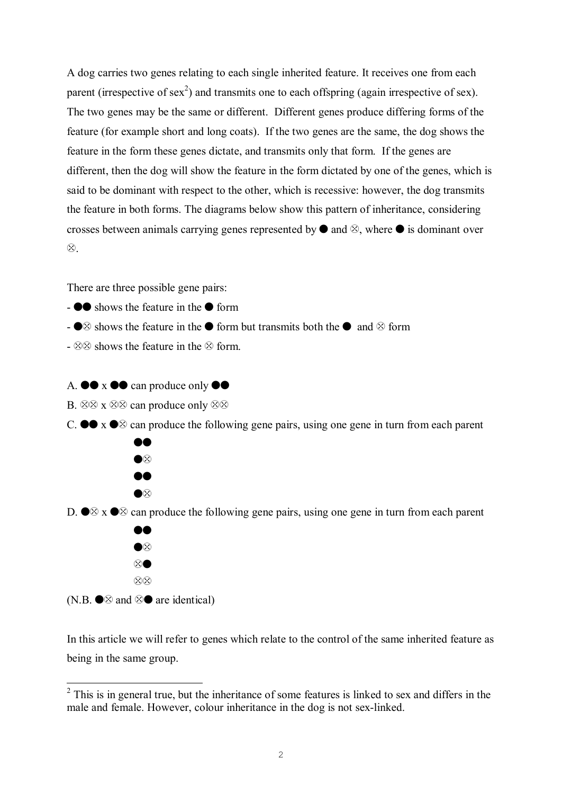A dog carries two genes relating to each single inherited feature. It receives one from each parent (irrespective of sex<sup>2</sup>) and transmits one to each offspring (again irrespective of sex). The two genes may be the same or different. Different genes produce differing forms of the feature (for example short and long coats). If the two genes are the same, the dog shows the feature in the form these genes dictate, and transmits only that form. If the genes are different, then the dog will show the feature in the form dictated by one of the genes, which is said to be dominant with respect to the other, which is recessive: however, the dog transmits the feature in both forms. The diagrams below show this pattern of inheritance, considering crosses between animals carrying genes represented by  $\bullet$  and  $\otimes$ , where  $\bullet$  is dominant over  $\otimes$ .

There are three possible gene pairs:

- $\overline{\bullet}$   $\bullet$  shows the feature in the  $\bullet$  form
- $\otimes$  shows the feature in the  $\bullet$  form but transmits both the  $\bullet$  and  $\otimes$  form
- $\otimes$   $\otimes$  shows the feature in the  $\otimes$  form.
- A.  $\bullet \bullet x \bullet \bullet$  can produce only  $\bullet \bullet$
- B.  $\otimes \otimes$  x  $\otimes \otimes$  can produce only  $\otimes \otimes$
- C.  $\bullet \bullet x \bullet \otimes$  can produce the following gene pairs, using one gene in turn from each parent



D.  $\otimes$  x  $\otimes$  can produce the following gene pairs, using one gene in turn from each parent



(N.B.  $\bullet \otimes$  and  $\otimes \bullet$  are identical)

i

In this article we will refer to genes which relate to the control of the same inherited feature as being in the same group.

 $2$  This is in general true, but the inheritance of some features is linked to sex and differs in the male and female. However, colour inheritance in the dog is not sex-linked.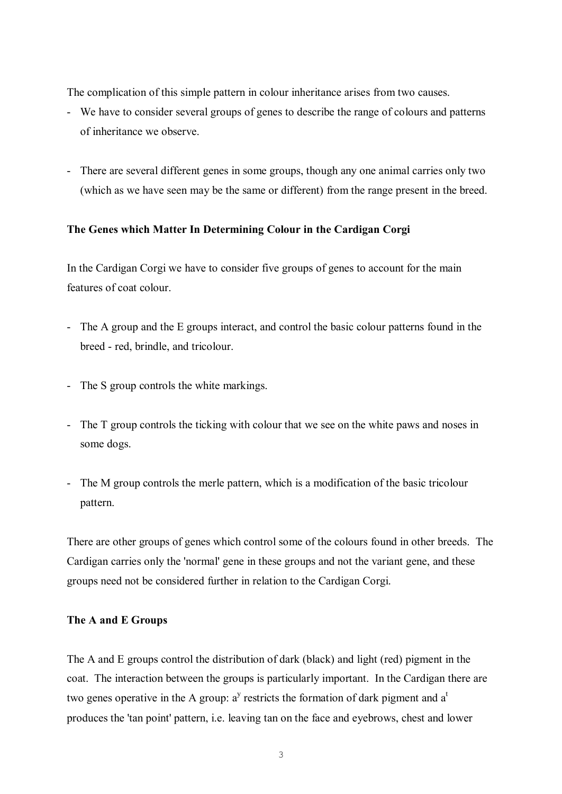The complication of this simple pattern in colour inheritance arises from two causes.

- We have to consider several groups of genes to describe the range of colours and patterns of inheritance we observe.
- There are several different genes in some groups, though any one animal carries only two (which as we have seen may be the same or different) from the range present in the breed.

# **The Genes which Matter In Determining Colour in the Cardigan Corgi**

In the Cardigan Corgi we have to consider five groups of genes to account for the main features of coat colour.

- The A group and the E groups interact, and control the basic colour patterns found in the breed - red, brindle, and tricolour.
- The S group controls the white markings.
- The T group controls the ticking with colour that we see on the white paws and noses in some dogs.
- The M group controls the merle pattern, which is a modification of the basic tricolour pattern.

There are other groups of genes which control some of the colours found in other breeds. The Cardigan carries only the 'normal' gene in these groups and not the variant gene, and these groups need not be considered further in relation to the Cardigan Corgi.

## **The A and E Groups**

The A and E groups control the distribution of dark (black) and light (red) pigment in the coat. The interaction between the groups is particularly important. In the Cardigan there are two genes operative in the A group:  $a^y$  restricts the formation of dark pigment and  $a^t$ produces the 'tan point' pattern, i.e. leaving tan on the face and eyebrows, chest and lower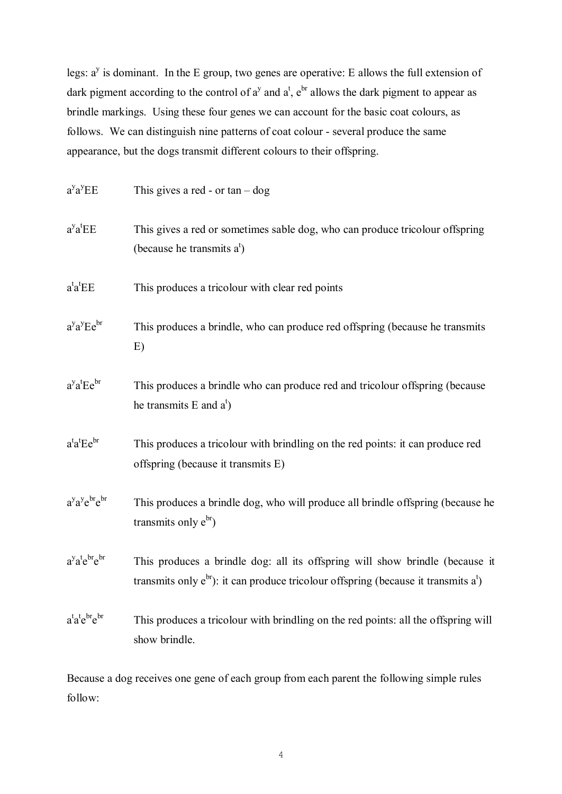legs:  $a^y$  is dominant. In the E group, two genes are operative: E allows the full extension of dark pigment according to the control of  $a^y$  and  $a^t$ ,  $e^{br}$  allows the dark pigment to appear as brindle markings. Using these four genes we can account for the basic coat colours, as follows. We can distinguish nine patterns of coat colour - several produce the same appearance, but the dogs transmit different colours to their offspring.

| $a^y a^y E E$                                                 | This gives a red - or $tan - dog$                                                                                                                                           |
|---------------------------------------------------------------|-----------------------------------------------------------------------------------------------------------------------------------------------------------------------------|
| $a^y a^t E E$                                                 | This gives a red or sometimes sable dog, who can produce tricolour offspring<br>(because he transmits $a^t$ )                                                               |
| $a^t a^t E E$                                                 | This produces a tricolour with clear red points                                                                                                                             |
| $a^{y}a^{y}Ee^{br}$                                           | This produces a brindle, who can produce red offspring (because he transmits<br>E)                                                                                          |
| $a^ya^tEe^{br}$                                               | This produces a brindle who can produce red and tricolour offspring (because<br>he transmits E and $a^t$ )                                                                  |
| $a^t a^t E e^{br}$                                            | This produces a tricolour with brindling on the red points: it can produce red<br>offspring (because it transmits E)                                                        |
| a <sup>y</sup> a <sup>y</sup> e <sup>br</sup> e <sup>br</sup> | This produces a brindle dog, who will produce all brindle offspring (because he<br>transmits only $e^{br}$ )                                                                |
| $a^y a^t e^{br} e^{br}$                                       | This produces a brindle dog: all its offspring will show brindle (because it<br>transmits only $e^{br}$ ): it can produce tricolour offspring (because it transmits $a^t$ ) |
| a <sup>t</sup> a <sup>t</sup> e <sup>br</sup> e <sup>br</sup> | This produces a tricolour with brindling on the red points: all the offspring will<br>show brindle.                                                                         |

Because a dog receives one gene of each group from each parent the following simple rules follow:

4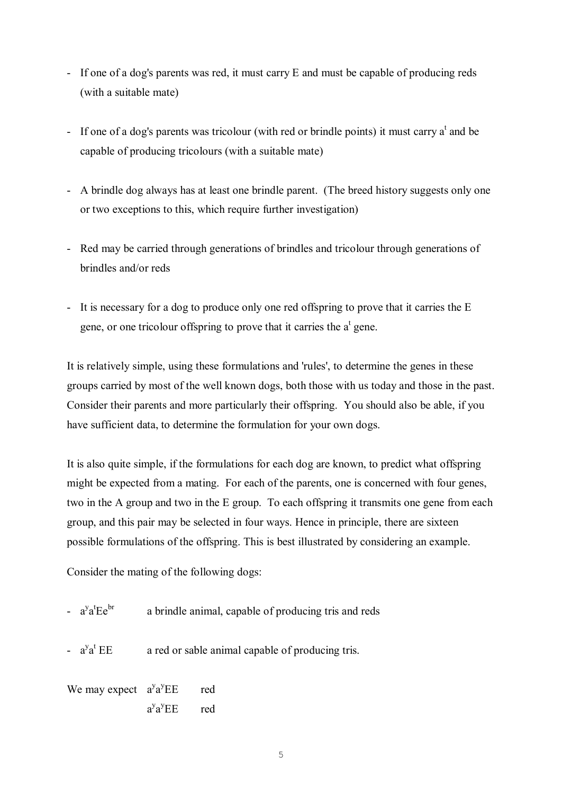- If one of a dog's parents was red, it must carry E and must be capable of producing reds (with a suitable mate)
- If one of a dog's parents was tricolour (with red or brindle points) it must carry  $a^t$  and be capable of producing tricolours (with a suitable mate)
- A brindle dog always has at least one brindle parent. (The breed history suggests only one or two exceptions to this, which require further investigation)
- Red may be carried through generations of brindles and tricolour through generations of brindles and/or reds
- It is necessary for a dog to produce only one red offspring to prove that it carries the E gene, or one tricolour offspring to prove that it carries the  $a<sup>t</sup>$  gene.

It is relatively simple, using these formulations and 'rules', to determine the genes in these groups carried by most of the well known dogs, both those with us today and those in the past. Consider their parents and more particularly their offspring. You should also be able, if you have sufficient data, to determine the formulation for your own dogs.

It is also quite simple, if the formulations for each dog are known, to predict what offspring might be expected from a mating. For each of the parents, one is concerned with four genes, two in the A group and two in the E group. To each offspring it transmits one gene from each group, and this pair may be selected in four ways. Hence in principle, there are sixteen possible formulations of the offspring. This is best illustrated by considering an example.

Consider the mating of the following dogs:

- $a^{\mathrm{y}}a^{\mathrm{t}}$ a brindle animal, capable of producing tris and reds
- $a^{\mathrm{y}}a^{\mathrm{t}}$ a red or sable animal capable of producing tris.

We may expect  $a^{y}a^{y}EE$  red  $a^{\mathrm{y}}a^{\mathrm{y}}$ red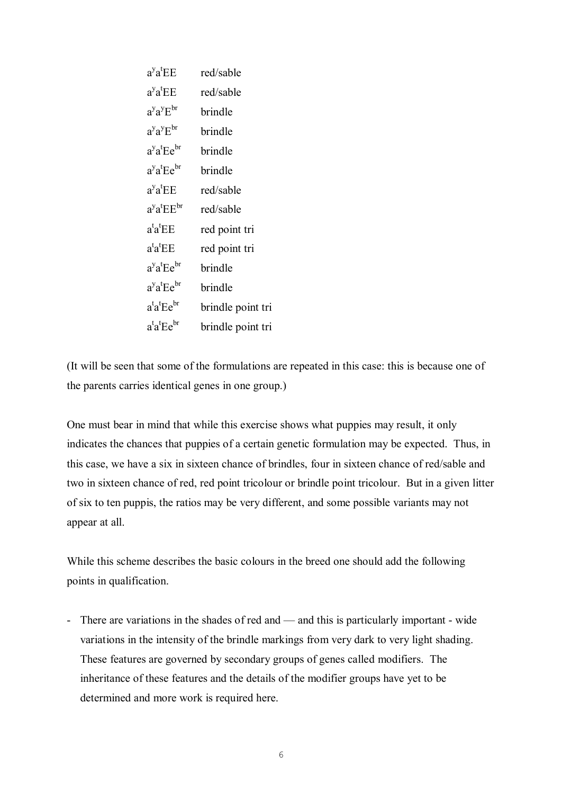| $a^ya^tEE$                               | red/sable         |
|------------------------------------------|-------------------|
| $a^y a^t$ EE                             | red/sable         |
| $a^y a^y E^{br}$                         | brindle           |
| $a^y a^y E^{br}$                         | brindle           |
| $a^ya^tEe^{br}$                          | brindle           |
| $a^ya^tEe^{br}$                          | brindle           |
| $a^ya^tEE$                               | red/sable         |
| $a^ya^tEE^{br}$                          | red/sable         |
| $a^t a^t E E$                            | red point tri     |
| $a^t a^t E E$                            | red point tri     |
| $a^ya^tEe^{br}$                          | brindle           |
| $a^{y}a^{t}Ee^{br}$                      | brindle           |
| $a^{\text{t}}a^{\text{t}}Ee^{\text{br}}$ | brindle point tri |
| $a^t a^t E e^{br}$                       | brindle point tri |

(It will be seen that some of the formulations are repeated in this case: this is because one of the parents carries identical genes in one group.)

One must bear in mind that while this exercise shows what puppies may result, it only indicates the chances that puppies of a certain genetic formulation may be expected. Thus, in this case, we have a six in sixteen chance of brindles, four in sixteen chance of red/sable and two in sixteen chance of red, red point tricolour or brindle point tricolour. But in a given litter of six to ten puppis, the ratios may be very different, and some possible variants may not appear at all.

While this scheme describes the basic colours in the breed one should add the following points in qualification.

- There are variations in the shades of red and — and this is particularly important - wide variations in the intensity of the brindle markings from very dark to very light shading. These features are governed by secondary groups of genes called modifiers. The inheritance of these features and the details of the modifier groups have yet to be determined and more work is required here.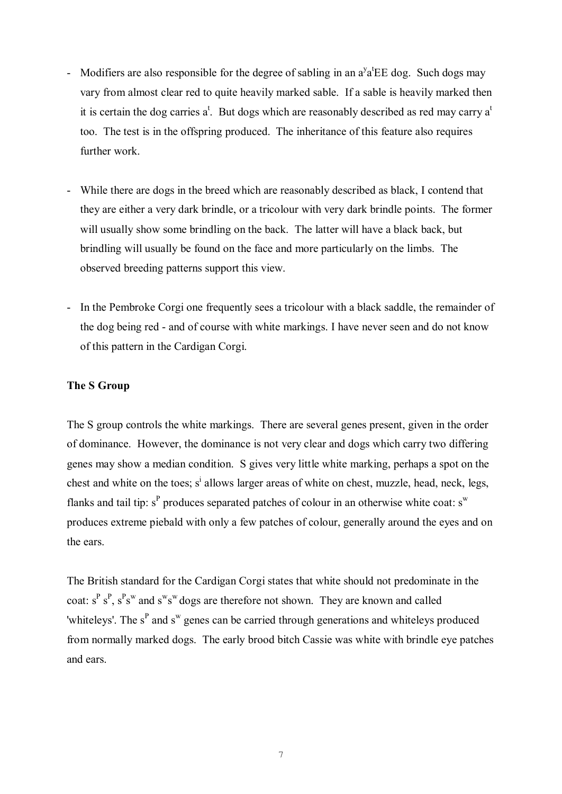- Modifiers are also responsible for the degree of sabling in an  $a^y a^t \text{EE}$  dog. Such dogs may vary from almost clear red to quite heavily marked sable. If a sable is heavily marked then it is certain the dog carries  $a^t$ . But dogs which are reasonably described as red may carry  $a^t$ too. The test is in the offspring produced. The inheritance of this feature also requires further work.
- While there are dogs in the breed which are reasonably described as black, I contend that they are either a very dark brindle, or a tricolour with very dark brindle points. The former will usually show some brindling on the back. The latter will have a black back, but brindling will usually be found on the face and more particularly on the limbs. The observed breeding patterns support this view.
- In the Pembroke Corgi one frequently sees a tricolour with a black saddle, the remainder of the dog being red - and of course with white markings. I have never seen and do not know of this pattern in the Cardigan Corgi.

# **The S Group**

The S group controls the white markings. There are several genes present, given in the order of dominance. However, the dominance is not very clear and dogs which carry two differing genes may show a median condition. S gives very little white marking, perhaps a spot on the chest and white on the toes; s<sup>i</sup> allows larger areas of white on chest, muzzle, head, neck, legs, flanks and tail tip:  $s^P$  produces separated patches of colour in an otherwise white coat:  $s^w$ produces extreme piebald with only a few patches of colour, generally around the eyes and on the ears.

The British standard for the Cardigan Corgi states that white should not predominate in the coat:  $s^P s^P$ ,  $s^P s^W$  and  $s^w s^w$  dogs are therefore not shown. They are known and called 'whiteleys'. The  $s^P$  and  $s^W$  genes can be carried through generations and whiteleys produced from normally marked dogs. The early brood bitch Cassie was white with brindle eye patches and ears.

7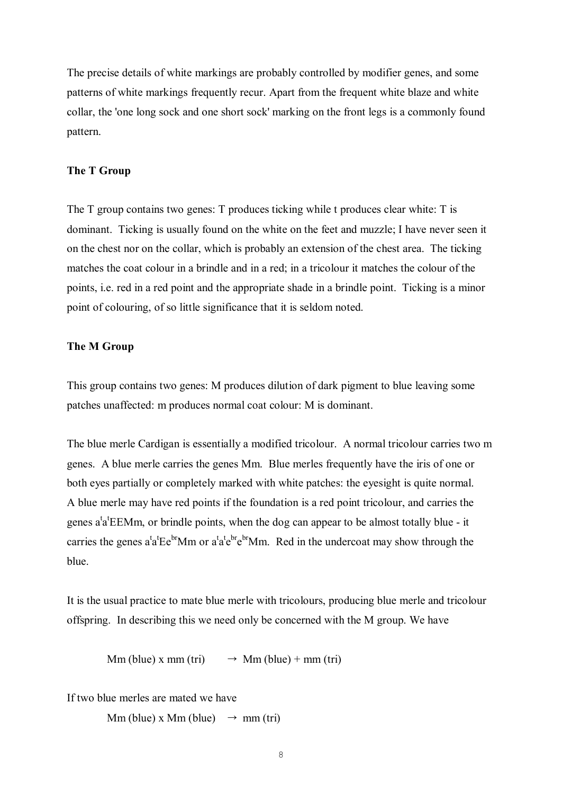The precise details of white markings are probably controlled by modifier genes, and some patterns of white markings frequently recur. Apart from the frequent white blaze and white collar, the 'one long sock and one short sock' marking on the front legs is a commonly found pattern.

### **The T Group**

The T group contains two genes: T produces ticking while t produces clear white: T is dominant. Ticking is usually found on the white on the feet and muzzle; I have never seen it on the chest nor on the collar, which is probably an extension of the chest area. The ticking matches the coat colour in a brindle and in a red; in a tricolour it matches the colour of the points, i.e. red in a red point and the appropriate shade in a brindle point. Ticking is a minor point of colouring, of so little significance that it is seldom noted.

### **The M Group**

This group contains two genes: M produces dilution of dark pigment to blue leaving some patches unaffected: m produces normal coat colour: M is dominant.

The blue merle Cardigan is essentially a modified tricolour. A normal tricolour carries two m genes. A blue merle carries the genes Mm. Blue merles frequently have the iris of one or both eyes partially or completely marked with white patches: the eyesight is quite normal. A blue merle may have red points if the foundation is a red point tricolour, and carries the genes  $a^t a^t$ EEMm, or brindle points, when the dog can appear to be almost totally blue - it carries the genes  $a^t a^t E e^{b r} M m$  or  $a^t a^t e^{b r} M m$ . Red in the undercoat may show through the blue.

It is the usual practice to mate blue merle with tricolours, producing blue merle and tricolour offspring. In describing this we need only be concerned with the M group. We have

 $\text{Mm (blue) x mm (tri)} \rightarrow \text{Mm (blue)} + \text{mm (tri)}$ 

If two blue merles are mated we have

Mm (blue) x Mm (blue)  $\rightarrow$  mm (tri)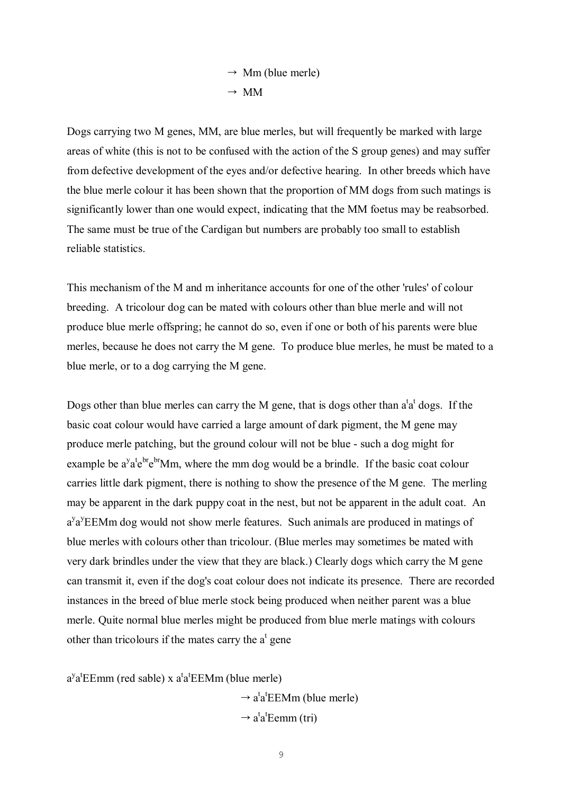$$
\rightarrow \text{Mm (blue merle)}
$$
  

$$
\rightarrow \text{MM}
$$

Dogs carrying two M genes, MM, are blue merles, but will frequently be marked with large areas of white (this is not to be confused with the action of the S group genes) and may suffer from defective development of the eyes and/or defective hearing. In other breeds which have the blue merle colour it has been shown that the proportion of MM dogs from such matings is significantly lower than one would expect, indicating that the MM foetus may be reabsorbed. The same must be true of the Cardigan but numbers are probably too small to establish reliable statistics.

This mechanism of the M and m inheritance accounts for one of the other 'rules' of colour breeding. A tricolour dog can be mated with colours other than blue merle and will not produce blue merle offspring; he cannot do so, even if one or both of his parents were blue merles, because he does not carry the M gene. To produce blue merles, he must be mated to a blue merle, or to a dog carrying the M gene.

Dogs other than blue merles can carry the M gene, that is dogs other than  $a^t a^t$  dogs. If the basic coat colour would have carried a large amount of dark pigment, the M gene may produce merle patching, but the ground colour will not be blue - such a dog might for example be  $a^y a^t e^{b r} e^{b r} M m$ , where the mm dog would be a brindle. If the basic coat colour carries little dark pigment, there is nothing to show the presence of the M gene. The merling may be apparent in the dark puppy coat in the nest, but not be apparent in the adult coat. An a<sup>y</sup>a<sup>y</sup>EEMm dog would not show merle features. Such animals are produced in matings of blue merles with colours other than tricolour. (Blue merles may sometimes be mated with very dark brindles under the view that they are black.) Clearly dogs which carry the M gene can transmit it, even if the dog's coat colour does not indicate its presence. There are recorded instances in the breed of blue merle stock being produced when neither parent was a blue merle. Quite normal blue merles might be produced from blue merle matings with colours other than tricolours if the mates carry the  $a^t$  gene

 $a^{y}a^{t}EEmm$  (red sable) x  $a^{t}a^{t}EEMm$  (blue merle)

 $\rightarrow$  a<sup>t</sup>a<sup>t</sup>EEMm (blue merle)  $\rightarrow$  a<sup>t</sup>a<sup>t</sup>Eemm (tri)